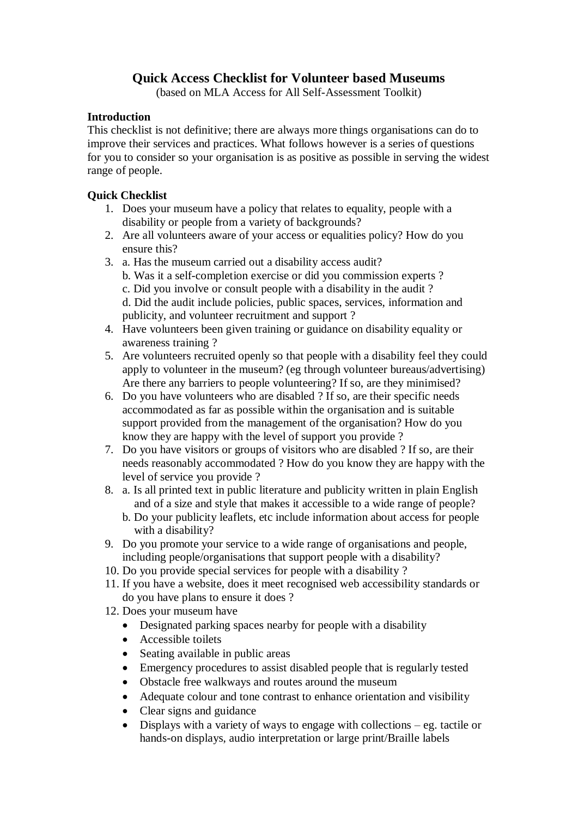# **Quick Access Checklist for Volunteer based Museums**

(based on MLA Access for All Self-Assessment Toolkit)

#### **Introduction**

This checklist is not definitive; there are always more things organisations can do to improve their services and practices. What follows however is a series of questions for you to consider so your organisation is as positive as possible in serving the widest range of people.

#### **Quick Checklist**

- 1. Does your museum have a policy that relates to equality, people with a disability or people from a variety of backgrounds?
- 2. Are all volunteers aware of your access or equalities policy? How do you ensure this?
- 3. a. Has the museum carried out a disability access audit?
	- b. Was it a self-completion exercise or did you commission experts ?
	- c. Did you involve or consult people with a disability in the audit ?
	- d. Did the audit include policies, public spaces, services, information and publicity, and volunteer recruitment and support ?
- 4. Have volunteers been given training or guidance on disability equality or awareness training ?
- 5. Are volunteers recruited openly so that people with a disability feel they could apply to volunteer in the museum? (eg through volunteer bureaus/advertising) Are there any barriers to people volunteering? If so, are they minimised?
- 6. Do you have volunteers who are disabled ? If so, are their specific needs accommodated as far as possible within the organisation and is suitable support provided from the management of the organisation? How do you know they are happy with the level of support you provide ?
- 7. Do you have visitors or groups of visitors who are disabled ? If so, are their needs reasonably accommodated ? How do you know they are happy with the level of service you provide ?
- 8. a. Is all printed text in public literature and publicity written in plain English and of a size and style that makes it accessible to a wide range of people? b. Do your publicity leaflets, etc include information about access for people with a disability?
- 9. Do you promote your service to a wide range of organisations and people, including people/organisations that support people with a disability?
- 10. Do you provide special services for people with a disability ?
- 11. If you have a website, does it meet recognised web accessibility standards or do you have plans to ensure it does ?
- 12. Does your museum have
	- Designated parking spaces nearby for people with a disability
	- Accessible toilets
	- Seating available in public areas
	- Emergency procedures to assist disabled people that is regularly tested
	- Obstacle free walkways and routes around the museum
	- Adequate colour and tone contrast to enhance orientation and visibility
	- Clear signs and guidance
	- Displays with a variety of ways to engage with collections eg. tactile or hands-on displays, audio interpretation or large print/Braille labels